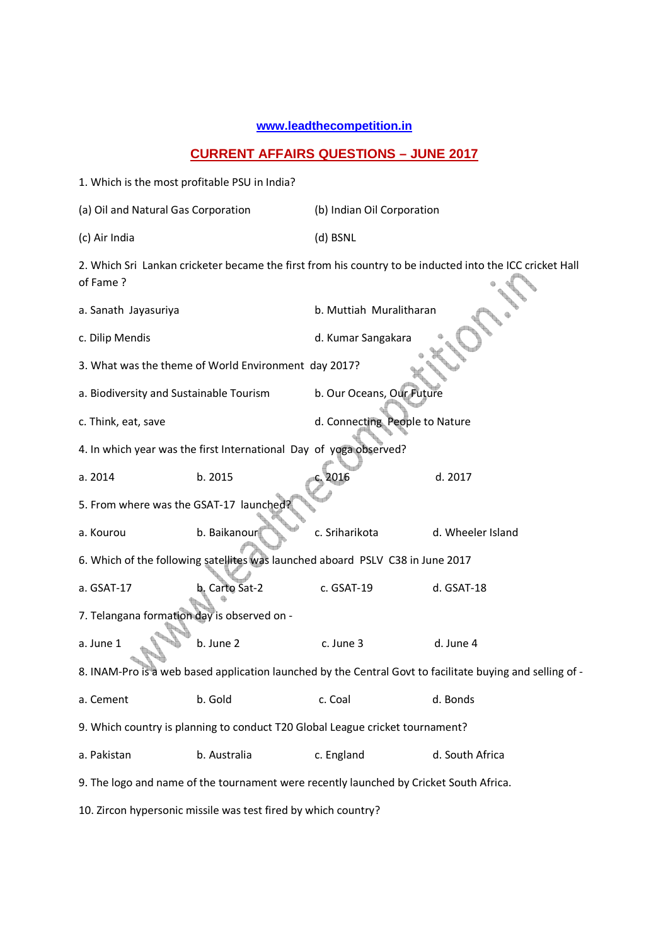## **www.leadthecompetition.in**

## **CURRENT AFFAIRS QUESTIONS – JUNE 2017**

| 1. Which is the most profitable PSU in India?                                                                        |                |                                |                   |  |  |  |  |
|----------------------------------------------------------------------------------------------------------------------|----------------|--------------------------------|-------------------|--|--|--|--|
| (a) Oil and Natural Gas Corporation                                                                                  |                | (b) Indian Oil Corporation     |                   |  |  |  |  |
| (c) Air India                                                                                                        |                | (d) BSNL                       |                   |  |  |  |  |
| 2. Which Sri Lankan cricketer became the first from his country to be inducted into the ICC cricket Hall<br>of Fame? |                |                                |                   |  |  |  |  |
| a. Sanath Jayasuriya                                                                                                 |                | b. Muttiah Muralitharan        |                   |  |  |  |  |
| c. Dilip Mendis                                                                                                      |                | d. Kumar Sangakara             |                   |  |  |  |  |
| 3. What was the theme of World Environment day 2017?                                                                 |                |                                |                   |  |  |  |  |
| a. Biodiversity and Sustainable Tourism                                                                              |                | b. Our Oceans, Our Future      |                   |  |  |  |  |
| c. Think, eat, save                                                                                                  |                | d. Connecting People to Nature |                   |  |  |  |  |
| 4. In which year was the first International Day of yoga observed?                                                   |                |                                |                   |  |  |  |  |
| a. 2014                                                                                                              | b. 2015        | 2016                           | d. 2017           |  |  |  |  |
| 5. From where was the GSAT-17 launched?                                                                              |                |                                |                   |  |  |  |  |
| a. Kourou                                                                                                            | b. Baikanour   | c. Sriharikota                 | d. Wheeler Island |  |  |  |  |
| 6. Which of the following satellites was launched aboard PSLV C38 in June 2017                                       |                |                                |                   |  |  |  |  |
| a. GSAT-17                                                                                                           | b. Carto Sat-2 | c. GSAT-19                     | d. GSAT-18        |  |  |  |  |
| 7. Telangana formation day is observed on -                                                                          |                |                                |                   |  |  |  |  |
| a. June 1                                                                                                            | b. June 2      | c. June 3                      | d. June 4         |  |  |  |  |
| 8. INAM-Pro is a web based application launched by the Central Govt to facilitate buying and selling of -            |                |                                |                   |  |  |  |  |
| a. Cement                                                                                                            | b. Gold        | c. Coal                        | d. Bonds          |  |  |  |  |
| 9. Which country is planning to conduct T20 Global League cricket tournament?                                        |                |                                |                   |  |  |  |  |
| a. Pakistan                                                                                                          | b. Australia   | c. England                     | d. South Africa   |  |  |  |  |
| 9. The logo and name of the tournament were recently launched by Cricket South Africa.                               |                |                                |                   |  |  |  |  |
| 10. Zircon hypersonic missile was test fired by which country?                                                       |                |                                |                   |  |  |  |  |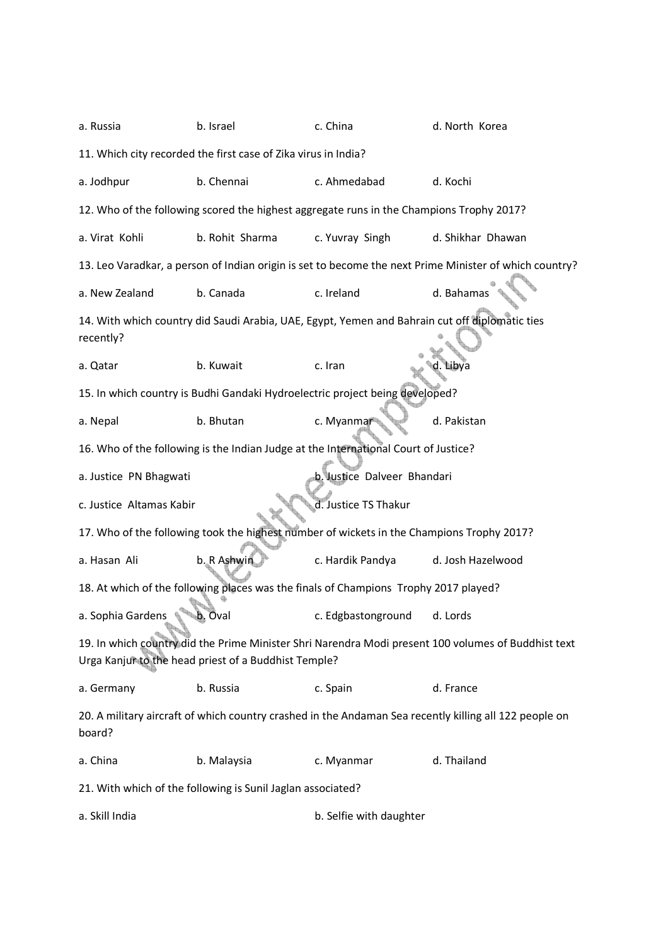| a. Russia                                                                                                                                                   | b. Israel                                                                           | c. China                             | d. North Korea    |  |  |  |  |
|-------------------------------------------------------------------------------------------------------------------------------------------------------------|-------------------------------------------------------------------------------------|--------------------------------------|-------------------|--|--|--|--|
| 11. Which city recorded the first case of Zika virus in India?                                                                                              |                                                                                     |                                      |                   |  |  |  |  |
| a. Jodhpur                                                                                                                                                  | b. Chennai                                                                          | c. Ahmedabad                         | d. Kochi          |  |  |  |  |
| 12. Who of the following scored the highest aggregate runs in the Champions Trophy 2017?                                                                    |                                                                                     |                                      |                   |  |  |  |  |
| a. Virat Kohli                                                                                                                                              | b. Rohit Sharma                                                                     | c. Yuvray Singh<br>d. Shikhar Dhawan |                   |  |  |  |  |
| 13. Leo Varadkar, a person of Indian origin is set to become the next Prime Minister of which country?                                                      |                                                                                     |                                      |                   |  |  |  |  |
| a. New Zealand                                                                                                                                              | b. Canada                                                                           | c. Ireland                           | d. Bahamas        |  |  |  |  |
| 14. With which country did Saudi Arabia, UAE, Egypt, Yemen and Bahrain cut off diplomatic ties<br>recently?                                                 |                                                                                     |                                      |                   |  |  |  |  |
| a. Qatar                                                                                                                                                    | b. Kuwait                                                                           | c. Iran                              | bva               |  |  |  |  |
| 15. In which country is Budhi Gandaki Hydroelectric project being developed?                                                                                |                                                                                     |                                      |                   |  |  |  |  |
| a. Nepal                                                                                                                                                    | b. Bhutan                                                                           | c. Myanmar                           | d. Pakistan       |  |  |  |  |
|                                                                                                                                                             | 16. Who of the following is the Indian Judge at the International Court of Justice? |                                      |                   |  |  |  |  |
| a. Justice PN Bhagwati                                                                                                                                      |                                                                                     | b. Justice Dalveer Bhandari          |                   |  |  |  |  |
| d. Justice TS Thakur<br>c. Justice Altamas Kabir                                                                                                            |                                                                                     |                                      |                   |  |  |  |  |
| 17. Who of the following took the highest number of wickets in the Champions Trophy 2017?                                                                   |                                                                                     |                                      |                   |  |  |  |  |
| a. Hasan Ali                                                                                                                                                | b. R Ashwin                                                                         | c. Hardik Pandya                     | d. Josh Hazelwood |  |  |  |  |
| 18. At which of the following places was the finals of Champions Trophy 2017 played?                                                                        |                                                                                     |                                      |                   |  |  |  |  |
| a. Sophia Gardens                                                                                                                                           | Oval<br>Ø,                                                                          | c. Edgbastonground                   | d. Lords          |  |  |  |  |
| 19. In which country did the Prime Minister Shri Narendra Modi present 100 volumes of Buddhist text<br>Urga Kanjur to the head priest of a Buddhist Temple? |                                                                                     |                                      |                   |  |  |  |  |
| a. Germany                                                                                                                                                  | b. Russia                                                                           | c. Spain                             | d. France         |  |  |  |  |
| 20. A military aircraft of which country crashed in the Andaman Sea recently killing all 122 people on<br>board?                                            |                                                                                     |                                      |                   |  |  |  |  |
| a. China                                                                                                                                                    | b. Malaysia                                                                         | c. Myanmar                           | d. Thailand       |  |  |  |  |
| 21. With which of the following is Sunil Jaglan associated?                                                                                                 |                                                                                     |                                      |                   |  |  |  |  |
| a. Skill India                                                                                                                                              |                                                                                     | b. Selfie with daughter              |                   |  |  |  |  |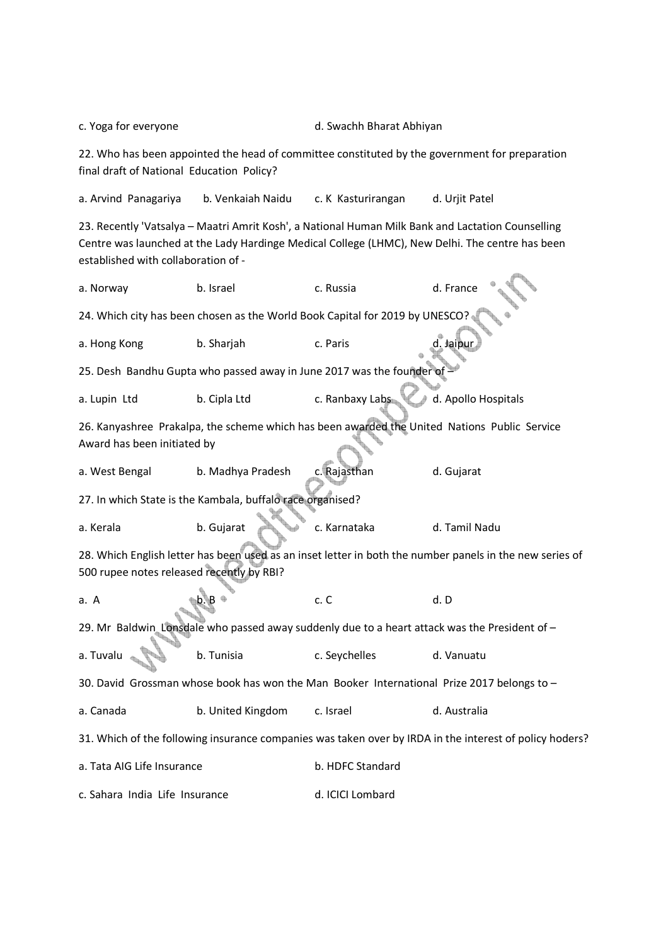c. Yoga for everyone and the state of the d. Swachh Bharat Abhiyan

22. Who has been appointed the head of committee constituted by the government for preparation final draft of National Education Policy?

a. Arvind Panagariya b. Venkaiah Naidu c. K Kasturirangan d. Urjit Patel

23. Recently 'Vatsalya – Maatri Amrit Kosh', a National Human Milk Bank and Lactation Counselling Centre was launched at the Lady Hardinge Medical College (LHMC), New Delhi. The centre has been established with collaboration of -

a. Norway b. Israel c. Russia d. France 24. Which city has been chosen as the World Book Capital for 2019 by UNESCO? a. Hong Kong b. Sharjah c. Paris 25. Desh Bandhu Gupta who passed away in June 2017 was the founder of a. Lupin Ltd b. Cipla Ltd c. Ranbaxy Labs d. Apollo Hospitals 26. Kanyashree Prakalpa, the scheme which has been awarded the United Nations Public Service Award has been initiated by a. West Bengal b. Madhya Pradesh c. Rajasthan d. Gujarat 27. In which State is the Kambala, buffalo race organised? a. Kerala b. Gujarat c. Karnataka d. Tamil Nadu 28. Which English letter has been used as an inset letter in both the number panels in the new series of 500 rupee notes released recently by RBI? a. A c. C d. D 29. Mr Baldwin Lonsdale who passed away suddenly due to a heart attack was the President of a. Tuvalu b. Tunisia c. Seychelles d. Vanuatu 30. David Grossman whose book has won the Man Booker International Prize 2017 belongs to – a. Canada b. United Kingdom c. Israel d. Australia 31. Which of the following insurance companies was taken over by IRDA in the interest of policy hoders? a. Tata AIG Life Insurance b. HDFC Standard c. Sahara India Life Insurance d. ICICI Lombard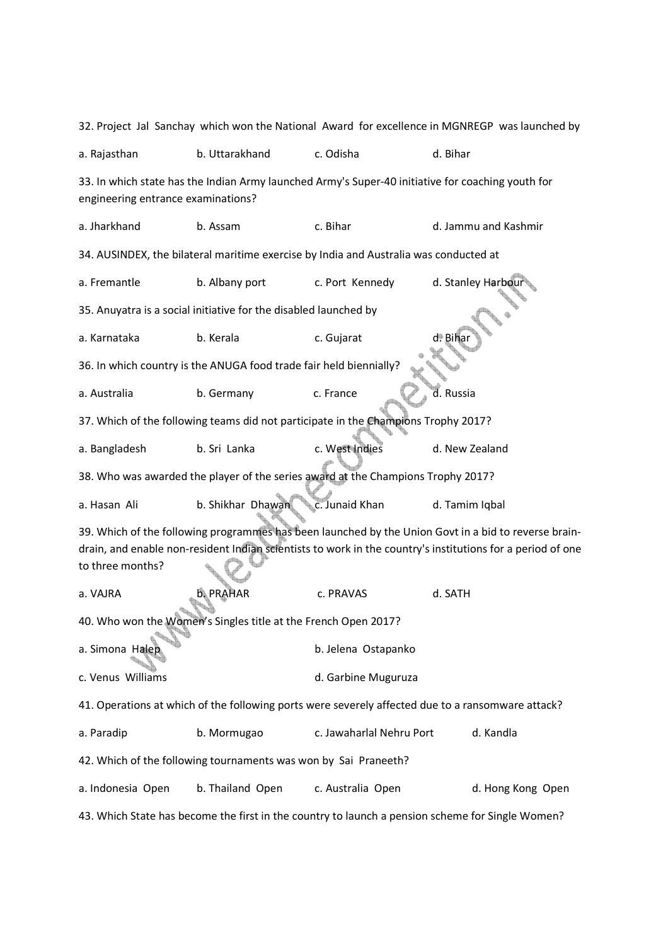32. Project Jal Sanchay which won the National Award for excellence in MGNREGP was launched by a. Rajasthan b. Uttarakhand c. Odisha d. Bihar 33. In which state has the Indian Army launched Army's Super-40 initiative for coaching youth for engineering entrance examinations? a. Jharkhand b. Assam c. Bihar d. Jammu and Kashmir 34. AUSINDEX, the bilateral maritime exercise by India and Australia was conducted at a. Fremantle b. Albany port c. Port Kennedy d. Stanley Harbour 35. Anuyatra is a social initiative for the disabled launched by a. Karnataka b. Kerala b. Kerala c. Gujarat 36. In which country is the ANUGA food trade fair held biennially? a. Australia b. Germany c. France d. Russia 37. Which of the following teams did not participate in the Champions Trophy 2017? a. Bangladesh b. Sri Lanka c. West Indies d. New Zealand 38. Who was awarded the player of the series award at the Champions Trophy 2017? a. Hasan Ali b. Shikhar Dhawan c. Junaid Khan d. Tamim Iqbal 39. Which of the following programmes has been launched by the Union Govt in a bid to reverse braindrain, and enable non-resident Indian scientists to work in the country's institutions for a period of one to three months? a. VAJRA b. PRAHAR c. PRAVAS d. SATH 40. Who won the Women's Singles title at the French Open 2017? a. Simona Halep **b. Jelena Ostapanko** c. Venus Williams **d. Garbine Muguruza** 41. Operations at which of the following ports were severely affected due to a ransomware attack? a. Paradip b. Mormugao c. Jawaharlal Nehru Port d. Kandla 42. Which of the following tournaments was won by Sai Praneeth? a. Indonesia Open b. Thailand Open c. Australia Open d. Hong Kong Open 43. Which State has become the first in the country to launch a pension scheme for Single Women?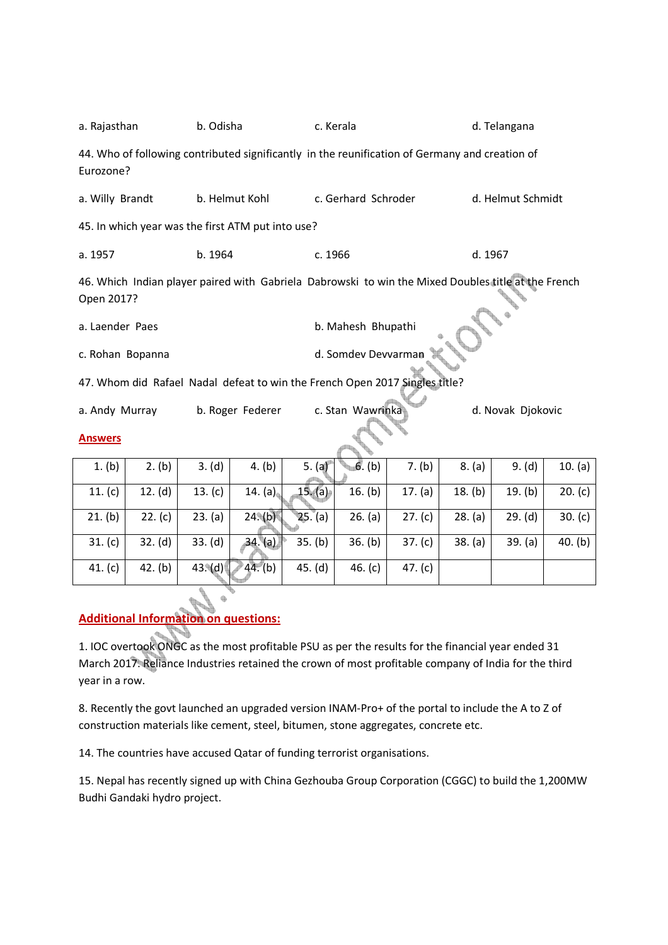| a. Rajasthan                                                                                                      |         | b. Odisha        |                     |         | c. Kerala           |           |         | d. Telangana      |         |  |
|-------------------------------------------------------------------------------------------------------------------|---------|------------------|---------------------|---------|---------------------|-----------|---------|-------------------|---------|--|
| 44. Who of following contributed significantly in the reunification of Germany and creation of<br>Eurozone?       |         |                  |                     |         |                     |           |         |                   |         |  |
| a. Willy Brandt                                                                                                   |         | b. Helmut Kohl   |                     |         | c. Gerhard Schroder |           |         | d. Helmut Schmidt |         |  |
| 45. In which year was the first ATM put into use?                                                                 |         |                  |                     |         |                     |           |         |                   |         |  |
| a. 1957                                                                                                           | b. 1964 |                  |                     | c. 1966 |                     |           | d. 1967 |                   |         |  |
| 46. Which Indian player paired with Gabriela Dabrowski to win the Mixed Doubles title at the French<br>Open 2017? |         |                  |                     |         |                     |           |         |                   |         |  |
| b. Mahesh Bhupathi<br>a. Laender Paes                                                                             |         |                  |                     |         |                     |           |         |                   |         |  |
| c. Rohan Bopanna                                                                                                  |         |                  | d. Somdev Devvarman |         |                     |           |         |                   |         |  |
| 47. Whom did Rafael Nadal defeat to win the French Open 2017 Singles title?                                       |         |                  |                     |         |                     |           |         |                   |         |  |
| a. Andy Murray                                                                                                    |         | b. Roger Federer |                     |         | c. Stan Wawrinka    |           |         | d. Novak Djokovic |         |  |
| <b>Answers</b>                                                                                                    |         |                  |                     |         |                     |           |         |                   |         |  |
| 1. (b)                                                                                                            | 2. (b)  | 3. (d)           | 4. (b)              | 5. (a)  | 6. (b)              | 7. (b)    | 8. (a)  | 9. (d)            | 10. (a) |  |
| 11. $(c)$                                                                                                         | 12. (d) | 13. $(c)$        | 14. (a)             | 15. (a) | 16. (b)             | 17. (a)   | 18. (b) | 19. (b)           | 20. (c) |  |
| 21. (b)                                                                                                           | 22. (c) | 23. (a)          | $24.$ (b)           | 25. (a) | 26. (a)             | 27. (c)   | 28. (a) | 29. (d)           | 30. (c) |  |
| 31. (c)                                                                                                           | 32. (d) | 33. (d)          | 34. (a)             | 35. (b) | 36. (b)             | 37. (c)   | 38. (a) | 39. (a)           | 40. (b) |  |
| 41. (c)                                                                                                           | 42. (b) | $43 \text{ (d)}$ | 44. (b)             | 45. (d) | 46. $(c)$           | 47. $(c)$ |         |                   |         |  |

## **Additional Information on questions:**

¢

1. IOC overtook ONGC as the most profitable PSU as per the results for the financial year ended 31 March 2017. Reliance Industries retained the crown of most profitable company of India for the third year in a row.

8. Recently the govt launched an upgraded version INAM-Pro+ of the portal to include the A to Z of construction materials like cement, steel, bitumen, stone aggregates, concrete etc.

14. The countries have accused Qatar of funding terrorist organisations.

15. Nepal has recently signed up with China Gezhouba Group Corporation (CGGC) to build the 1,200MW Budhi Gandaki hydro project.